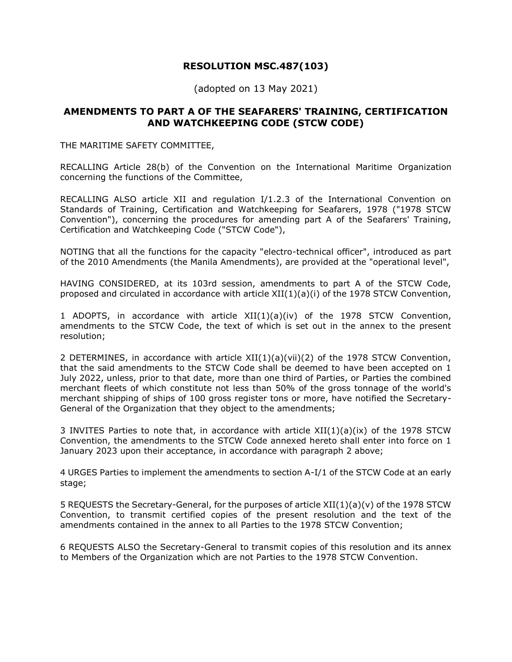#### **RESOLUTION MSC.487(103)**

(adopted on 13 May 2021)

#### **AMENDMENTS TO PART A OF THE SEAFARERS' TRAINING, CERTIFICATION AND WATCHKEEPING CODE (STCW CODE)**

THE MARITIME SAFETY COMMITTEE,

RECALLING Article 28(b) of the Convention on the International Maritime Organization concerning the functions of the Committee,

RECALLING ALSO article XII and regulation I/1.2.3 of the International Convention on Standards of Training, Certification and Watchkeeping for Seafarers, 1978 ("1978 STCW Convention"), concerning the procedures for amending part A of the Seafarers' Training, Certification and Watchkeeping Code ("STCW Code"),

NOTING that all the functions for the capacity "electro-technical officer", introduced as part of the 2010 Amendments (the Manila Amendments), are provided at the "operational level",

HAVING CONSIDERED, at its 103rd session, amendments to part A of the STCW Code, proposed and circulated in accordance with article XII(1)(a)(i) of the 1978 STCW Convention,

1 ADOPTS, in accordance with article XII(1)(a)(iv) of the 1978 STCW Convention, amendments to the STCW Code, the text of which is set out in the annex to the present resolution;

2 DETERMINES, in accordance with article XII(1)(a)(vii)(2) of the 1978 STCW Convention, that the said amendments to the STCW Code shall be deemed to have been accepted on 1 July 2022, unless, prior to that date, more than one third of Parties, or Parties the combined merchant fleets of which constitute not less than 50% of the gross tonnage of the world's merchant shipping of ships of 100 gross register tons or more, have notified the Secretary-General of the Organization that they object to the amendments;

3 INVITES Parties to note that, in accordance with article  $XII(1)(a)(ix)$  of the 1978 STCW Convention, the amendments to the STCW Code annexed hereto shall enter into force on 1 January 2023 upon their acceptance, in accordance with paragraph 2 above;

4 URGES Parties to implement the amendments to section A-I/1 of the STCW Code at an early stage;

5 REQUESTS the Secretary-General, for the purposes of article XII(1)(a)(v) of the 1978 STCW Convention, to transmit certified copies of the present resolution and the text of the amendments contained in the annex to all Parties to the 1978 STCW Convention;

6 REQUESTS ALSO the Secretary-General to transmit copies of this resolution and its annex to Members of the Organization which are not Parties to the 1978 STCW Convention.